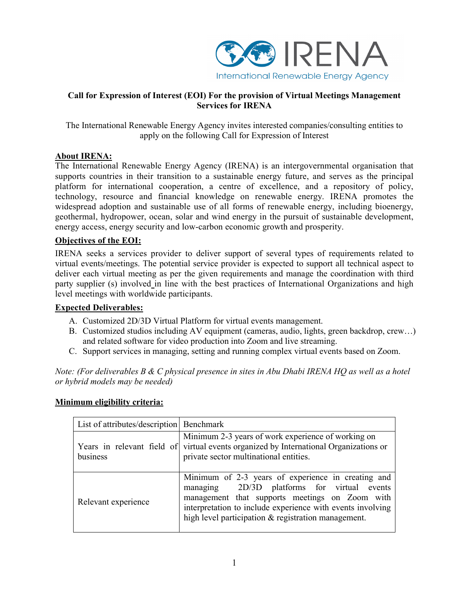

## **Call for Expression of Interest (EOI) For the provision of Virtual Meetings Management Services for IRENA**

The International Renewable Energy Agency invites interested companies/consulting entities to apply on the following Call for Expression of Interest

## **About IRENA:**

The International Renewable Energy Agency (IRENA) is an intergovernmental organisation that supports countries in their transition to a sustainable energy future, and serves as the principal platform for international cooperation, a centre of excellence, and a repository of policy, technology, resource and financial knowledge on renewable energy. IRENA promotes the widespread adoption and sustainable use of all forms of renewable energy, including bioenergy, geothermal, hydropower, ocean, solar and wind energy in the pursuit of sustainable development, energy access, energy security and low-carbon economic growth and prosperity.

# **Objectives of the EOI:**

IRENA seeks a services provider to deliver support of several types of requirements related to virtual events/meetings. The potential service provider is expected to support all technical aspect to deliver each virtual meeting as per the given requirements and manage the coordination with third party supplier (s) involved in line with the best practices of International Organizations and high level meetings with worldwide participants.

## **Expected Deliverables:**

- A. Customized 2D/3D Virtual Platform for virtual events management.
- B. Customized studios including AV equipment (cameras, audio, lights, green backdrop, crew…) and related software for video production into Zoom and live streaming.
- C. Support services in managing, setting and running complex virtual events based on Zoom.

*Note: (For deliverables B & C physical presence in sites in Abu Dhabi IRENA HQ as well as a hotel or hybrid models may be needed)*

### **Minimum eligibility criteria:**

| List of attributes/description   Benchmark |                                                                                                                                                                                                                                                                          |
|--------------------------------------------|--------------------------------------------------------------------------------------------------------------------------------------------------------------------------------------------------------------------------------------------------------------------------|
| business                                   | Minimum 2-3 years of work experience of working on<br>Years in relevant field of virtual events organized by International Organizations or<br>private sector multinational entities.                                                                                    |
| Relevant experience                        | Minimum of 2-3 years of experience in creating and<br>managing 2D/3D platforms for virtual events<br>management that supports meetings on Zoom with<br>interpretation to include experience with events involving<br>high level participation & registration management. |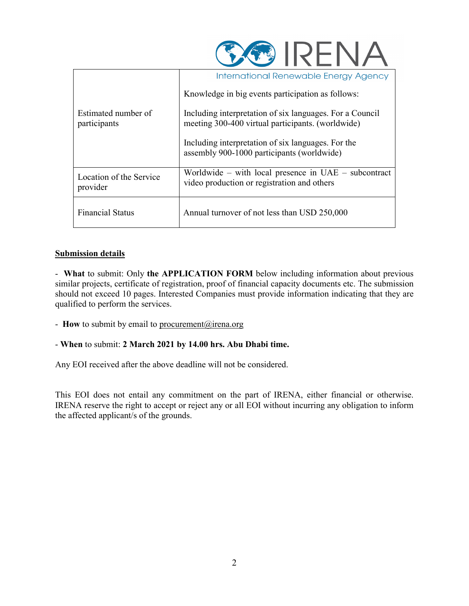

|                                     | International Renewable Energy Agency                                                                         |
|-------------------------------------|---------------------------------------------------------------------------------------------------------------|
|                                     | Knowledge in big events participation as follows:                                                             |
| Estimated number of<br>participants | Including interpretation of six languages. For a Council<br>meeting 300-400 virtual participants. (worldwide) |
|                                     | Including interpretation of six languages. For the<br>assembly 900-1000 participants (worldwide)              |
| Location of the Service<br>provider | Worldwide – with local presence in $UAE$ – subcontract<br>video production or registration and others         |
| <b>Financial Status</b>             | Annual turnover of not less than USD 250,000                                                                  |

# **Submission details**

- **What** to submit: Only **the APPLICATION FORM** below including information about previous similar projects, certificate of registration, proof of financial capacity documents etc. The submission should not exceed 10 pages. Interested Companies must provide information indicating that they are qualified to perform the services.

- **How** to submit by email to [procurement@irena.org](mailto:procurement@irena.org)

- **When** to submit: **2 March 2021 by 14.00 hrs. Abu Dhabi time.**

Any EOI received after the above deadline will not be considered.

This EOI does not entail any commitment on the part of IRENA, either financial or otherwise. IRENA reserve the right to accept or reject any or all EOI without incurring any obligation to inform the affected applicant/s of the grounds.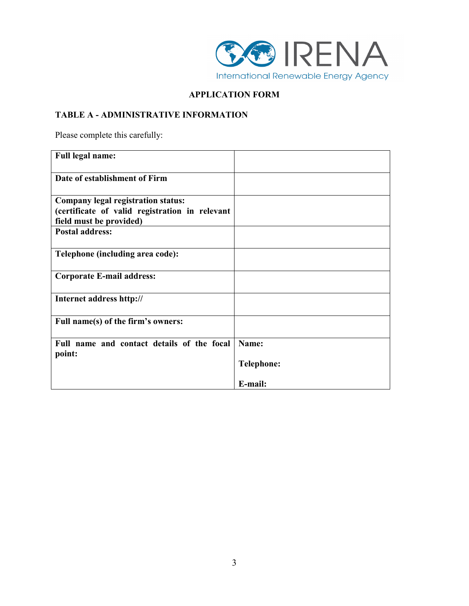

# **APPLICATION FORM**

# **TABLE A - ADMINISTRATIVE INFORMATION**

Please complete this carefully:

| <b>Full legal name:</b>                              |                   |
|------------------------------------------------------|-------------------|
| Date of establishment of Firm                        |                   |
| <b>Company legal registration status:</b>            |                   |
| (certificate of valid registration in relevant       |                   |
| field must be provided)                              |                   |
| <b>Postal address:</b>                               |                   |
| Telephone (including area code):                     |                   |
| <b>Corporate E-mail address:</b>                     |                   |
| Internet address http://                             |                   |
| Full name(s) of the firm's owners:                   |                   |
| Full name and contact details of the focal<br>point: | Name:             |
|                                                      | <b>Telephone:</b> |
|                                                      | E-mail:           |